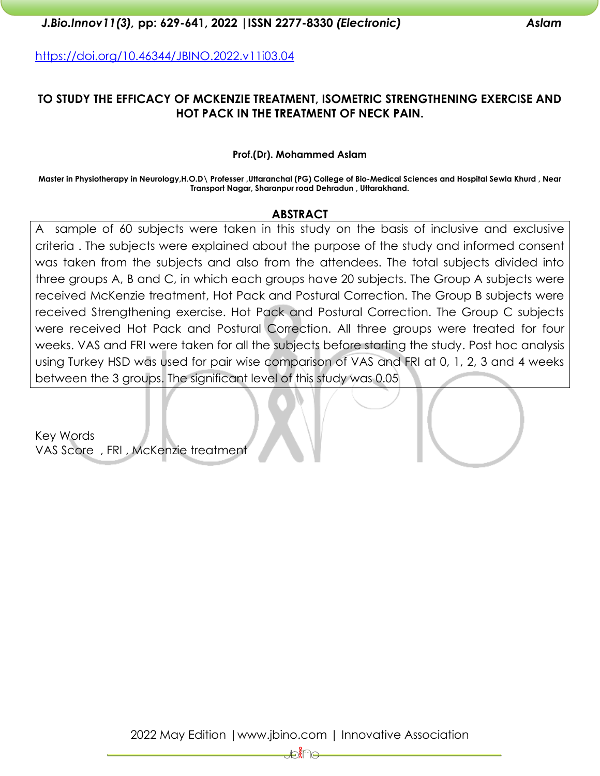<https://doi.org/10.46344/JBINO.2022.v11i03.04>

## **TO STUDY THE EFFICACY OF MCKENZIE TREATMENT, ISOMETRIC STRENGTHENING EXERCISE AND HOT PACK IN THE TREATMENT OF NECK PAIN.**

#### **Prof.(Dr). Mohammed Aslam**

**Master in Physiotherapy in Neurology,H.O.D\ Professer ,Uttaranchal (PG) College of Bio-Medical Sciences and Hospital Sewla Khurd , Near Transport Nagar, Sharanpur road Dehradun , Uttarakhand.**

#### **ABSTRACT**

A sample of 60 subjects were taken in this study on the basis of inclusive and exclusive criteria . The subjects were explained about the purpose of the study and informed consent was taken from the subjects and also from the attendees. The total subjects divided into three groups A, B and C, in which each groups have 20 subjects. The Group A subjects were received McKenzie treatment, Hot Pack and Postural Correction. The Group B subjects were received Strengthening exercise. Hot Pack and Postural Correction. The Group C subjects were received Hot Pack and Postural Correction. All three groups were treated for four weeks. VAS and FRI were taken for all the subjects before starting the study. Post hoc analysis using Turkey HSD was used for pair wise comparison of VAS and FRI at 0, 1, 2, 3 and 4 weeks between the 3 groups. The significant level of this study was 0.05

Key Words VAS Score , FRI , McKenzie treatment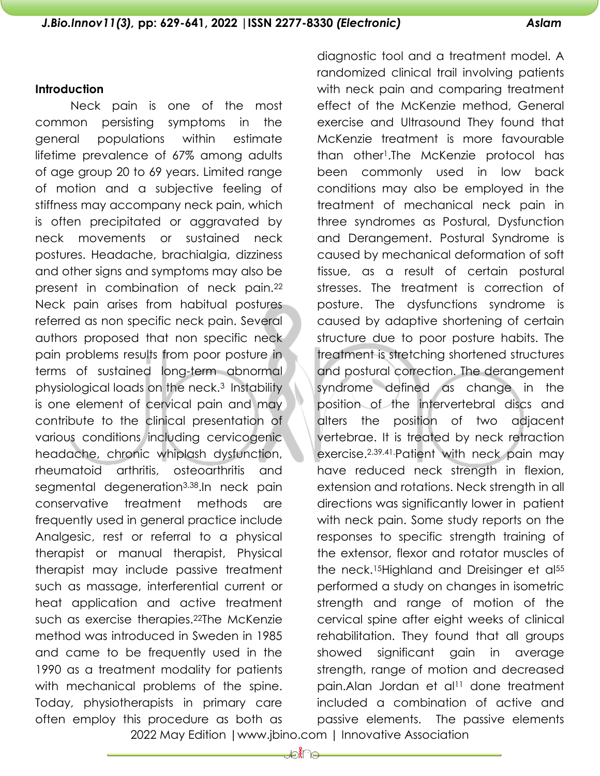#### **Introduction**

Neck pain is one of the most common persisting symptoms in the general populations within estimate lifetime prevalence of 67% among adults of age group 20 to 69 years. Limited range of motion and a subjective feeling of stiffness may accompany neck pain, which is often precipitated or aggravated by neck movements or sustained neck postures. Headache, brachialgia, dizziness and other signs and symptoms may also be present in combination of neck pain.<sup>22</sup> Neck pain arises from habitual postures referred as non specific neck pain. Several authors proposed that non specific neck pain problems results from poor posture in terms of sustained long-term abnormal physiological loads on the neck.3 Instability is one element of cervical pain and may contribute to the clinical presentation of various conditions including cervicogenic headache, chronic whiplash dysfunction, rheumatoid arthritis, osteoarthritis and segmental degeneration<sup>3.38</sup>.In neck pain conservative treatment methods are frequently used in general practice include Analgesic, rest or referral to a physical therapist or manual therapist, Physical therapist may include passive treatment such as massage, interferential current or heat application and active treatment such as exercise therapies.22The McKenzie method was introduced in Sweden in 1985 and came to be frequently used in the 1990 as a treatment modality for patients with mechanical problems of the spine. Today, physiotherapists in primary care often employ this procedure as both as

diagnostic tool and a treatment model. A randomized clinical trail involving patients with neck pain and comparing treatment effect of the McKenzie method, General exercise and Ultrasound They found that McKenzie treatment is more favourable than other1.The McKenzie protocol has been commonly used in low back conditions may also be employed in the treatment of mechanical neck pain in three syndromes as Postural, Dysfunction and Derangement. Postural Syndrome is caused by mechanical deformation of soft tissue, as a result of certain postural stresses. The treatment is correction of posture. The dysfunctions syndrome is caused by adaptive shortening of certain structure due to poor posture habits. The treatment is stretching shortened structures and postural correction. The derangement syndrome defined as change in the position of the intervertebral discs and alters the position of two adjacent vertebrae. It is treated by neck retraction exercise.2.39.41.Patient with neck pain may have reduced neck strength in flexion, extension and rotations. Neck strength in all directions was significantly lower in patient with neck pain. Some study reports on the responses to specific strength training of the extensor, flexor and rotator muscles of the neck.<sup>15</sup>Highland and Dreisinger et al<sup>55</sup> performed a study on changes in isometric strength and range of motion of the cervical spine after eight weeks of clinical rehabilitation. They found that all groups showed significant gain in average strength, range of motion and decreased pain.Alan Jordan et al<sup>11</sup> done treatment included a combination of active and passive elements. The passive elements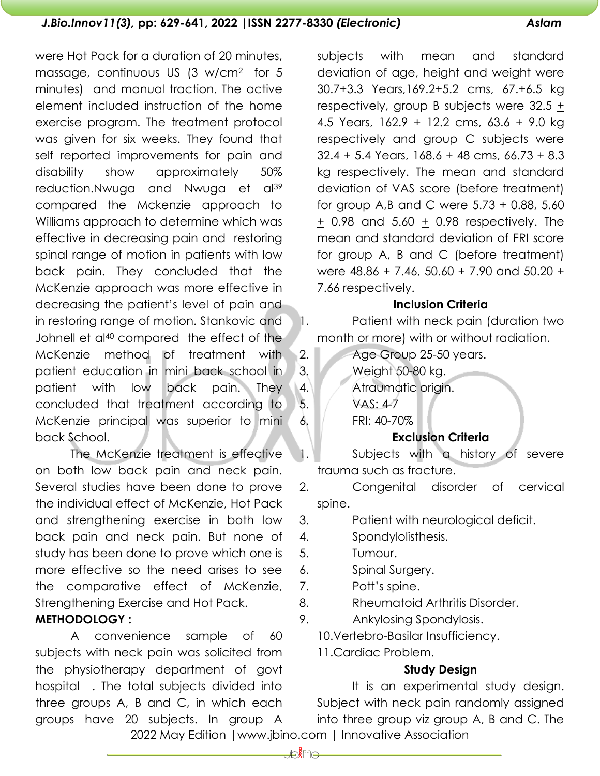were Hot Pack for a duration of 20 minutes, massage, continuous US (3 w/cm2 for 5 minutes) and manual traction. The active element included instruction of the home exercise program. The treatment protocol was given for six weeks. They found that self reported improvements for pain and disability show approximately 50% reduction.Nwuga and Nwuga et al<sup>39</sup> compared the Mckenzie approach to Williams approach to determine which was effective in decreasing pain and restoring spinal range of motion in patients with low back pain. They concluded that the McKenzie approach was more effective in decreasing the patient's level of pain and in restoring range of motion. Stankovic and Johnell et al<sup>40</sup> compared the effect of the McKenzie method of treatment with patient education in mini back school in patient with low back pain. They concluded that treatment according to McKenzie principal was superior to mini back School.

The McKenzie treatment is effective on both low back pain and neck pain. Several studies have been done to prove the individual effect of McKenzie, Hot Pack and strengthening exercise in both low back pain and neck pain. But none of study has been done to prove which one is more effective so the need arises to see the comparative effect of McKenzie, Strengthening Exercise and Hot Pack.

# **METHODOLOGY :**

A convenience sample of 60 subjects with neck pain was solicited from the physiotherapy department of govt hospital . The total subjects divided into three groups A, B and C, in which each groups have 20 subjects. In group A

subjects with mean and standard deviation of age, height and weight were 30.7+3.3 Years,169.2+5.2 cms, 67.+6.5 kg respectively, group B subjects were 32.5 + 4.5 Years,  $162.9 + 12.2$  cms,  $63.6 + 9.0$  kg respectively and group C subjects were 32.4  $\pm$  5.4 Years, 168.6  $\pm$  48 cms, 66.73  $\pm$  8.3 kg respectively. The mean and standard deviation of VAS score (before treatment) for group A,B and C were 5.73 + 0.88, 5.60  $\pm$  0.98 and 5.60  $\pm$  0.98 respectively. The mean and standard deviation of FRI score for group A, B and C (before treatment) were  $48.86 \pm 7.46$ ,  $50.60 \pm 7.90$  and  $50.20 \pm 7.90$ 7.66 respectively.

## **Inclusion Criteria**

1. Patient with neck pain (duration two month or more) with or without radiation.

2. Age Group 25-50 years. 3. Weight 50-80 kg. 4. Atraumatic origin. 5. VAS: 4-7 6. FRI: 40-70% **Exclusion Criteria**

1. Subjects with a history of severe trauma such as fracture.

2. Congenital disorder of cervical spine.

- 3. Patient with neurological deficit.
- 4. Spondylolisthesis.
- 5. Tumour.
- 6. Spinal Surgery.
- 7. Pott's spine.
- 8. Rheumatoid Arthritis Disorder.
- 9. Ankylosing Spondylosis.

10.Vertebro-Basilar Insufficiency.

11.Cardiac Problem.

# **Study Design**

2022 May Edition |www.jbino.com | Innovative Association It is an experimental study design. Subject with neck pain randomly assigned into three group viz group A, B and C. The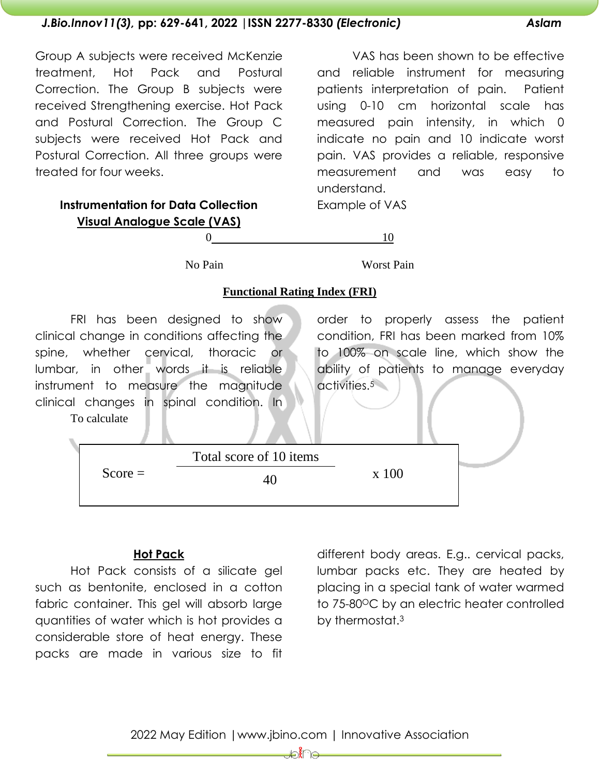# Group A subjects were received McKenzie treatment, Hot Pack and Postural Correction. The Group B subjects were received Strengthening exercise. Hot Pack and Postural Correction. The Group C subjects were received Hot Pack and Postural Correction. All three groups were treated for four weeks.

VAS has been shown to be effective and reliable instrument for measuring patients interpretation of pain. Patient using 0-10 cm horizontal scale has measured pain intensity, in which 0 indicate no pain and 10 indicate worst pain. VAS provides a reliable, responsive measurement and was easy to understand.

Example of VAS

**Visual Analogue Scale (VAS)**

**Instrumentation for Data Collection**

 $0 \qquad \qquad 10$ 

No Pain Worst Pain

#### **Functional Rating Index (FRI)**

FRI has been designed to show clinical change in conditions affecting the spine, whether cervical, thoracic or lumbar, in other words it is reliable instrument to measure the magnitude clinical changes in spinal condition. In To calculate

order to properly assess the patient condition, FRI has been marked from 10% to 100% on scale line, which show the ability of patients to manage everyday activities.<sup>5</sup>

|           | Total score of 10 items |       |  |
|-----------|-------------------------|-------|--|
| $Score =$ |                         | x 100 |  |
|           |                         |       |  |

## **Hot Pack**

Hot Pack consists of a silicate gel such as bentonite, enclosed in a cotton fabric container. This gel will absorb large quantities of water which is hot provides a considerable store of heat energy. These packs are made in various size to fit

different body areas. E.g.. cervical packs, lumbar packs etc. They are heated by placing in a special tank of water warmed to 75-80<sup>o</sup>C by an electric heater controlled by thermostat.<sup>3</sup>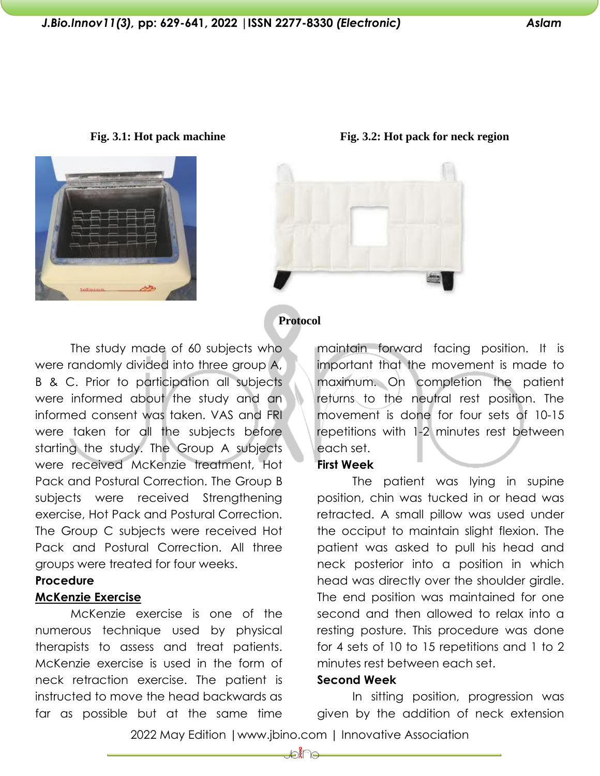Fig. 3.1: Hot pack machine Fig. 3.2: Hot pack for neck region



# **Protocol**

The study made of 60 subjects who were randomly divided into three group A, B & C. Prior to participation all subjects were informed about the study and an informed consent was taken. VAS and FRI were taken for all the subjects before starting the study. The Group A subjects were received McKenzie treatment, Hot Pack and Postural Correction. The Group B subjects were received Strengthening exercise, Hot Pack and Postural Correction. The Group C subjects were received Hot Pack and Postural Correction. All three groups were treated for four weeks.

#### **Procedure**

#### **McKenzie Exercise**

McKenzie exercise is one of the numerous technique used by physical therapists to assess and treat patients. McKenzie exercise is used in the form of neck retraction exercise. The patient is instructed to move the head backwards as far as possible but at the same time maintain forward facing position. It is important that the movement is made to maximum. On completion the patient returns to the neutral rest position. The movement is done for four sets of 10-15 repetitions with 1-2 minutes rest between each set.

## **First Week**

The patient was lying in supine position, chin was tucked in or head was retracted. A small pillow was used under the occiput to maintain slight flexion. The patient was asked to pull his head and neck posterior into a position in which head was directly over the shoulder girdle. The end position was maintained for one second and then allowed to relax into a resting posture. This procedure was done for 4 sets of 10 to 15 repetitions and 1 to 2 minutes rest between each set.

#### **Second Week**

In sitting position, progression was given by the addition of neck extension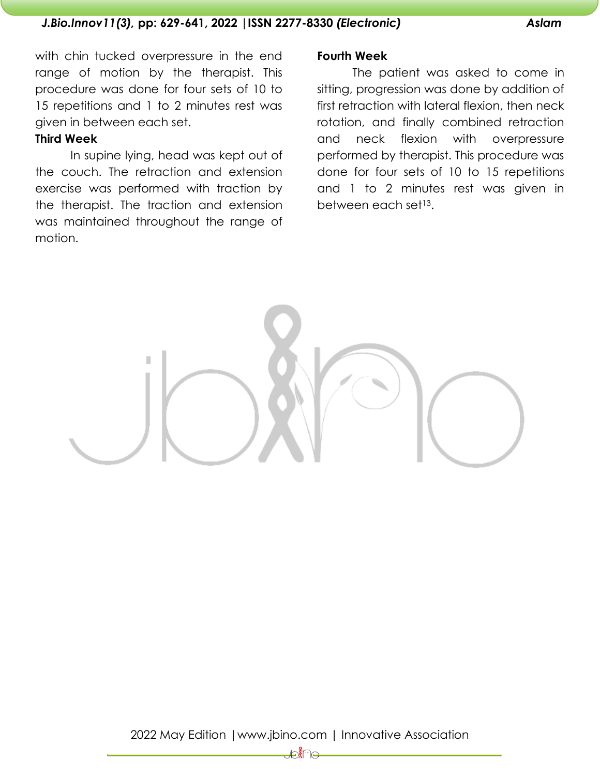with chin tucked overpressure in the end range of motion by the therapist. This procedure was done for four sets of 10 to 15 repetitions and 1 to 2 minutes rest was given in between each set.

## **Third Week**

In supine lying, head was kept out of the couch. The retraction and extension exercise was performed with traction by the therapist. The traction and extension was maintained throughout the range of motion.

## **Fourth Week**

The patient was asked to come in sitting, progression was done by addition of first retraction with lateral flexion, then neck rotation, and finally combined retraction and neck flexion with overpressure performed by therapist. This procedure was done for four sets of 10 to 15 repetitions and 1 to 2 minutes rest was given in between each set<sup>13</sup>.

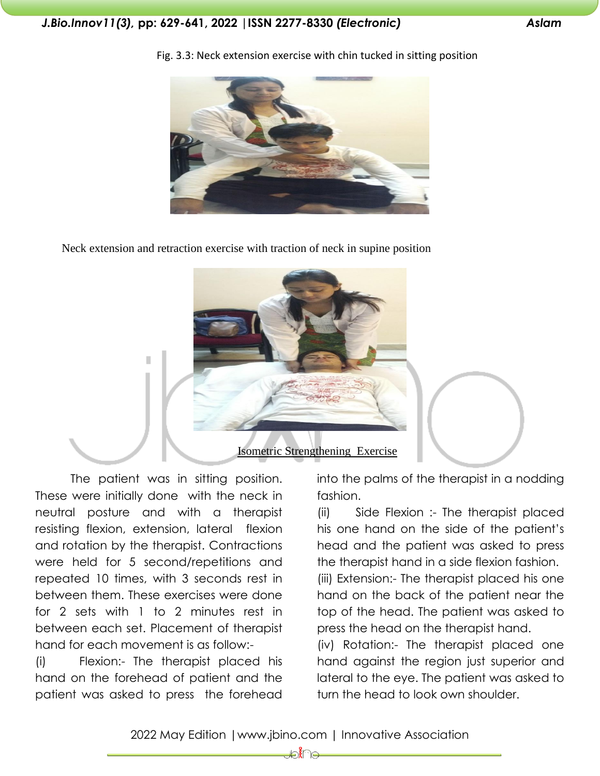

Fig. 3.3: Neck extension exercise with chin tucked in sitting position

Neck extension and retraction exercise with traction of neck in supine position



The patient was in sitting position. These were initially done with the neck in neutral posture and with a therapist resisting flexion, extension, lateral flexion and rotation by the therapist. Contractions were held for 5 second/repetitions and repeated 10 times, with 3 seconds rest in between them. These exercises were done for 2 sets with 1 to 2 minutes rest in between each set. Placement of therapist hand for each movement is as follow:-

(i) Flexion:- The therapist placed his hand on the forehead of patient and the patient was asked to press the forehead

into the palms of the therapist in a nodding fashion.

(ii) Side Flexion :- The therapist placed his one hand on the side of the patient's head and the patient was asked to press the therapist hand in a side flexion fashion.

(iii) Extension:- The therapist placed his one hand on the back of the patient near the top of the head. The patient was asked to press the head on the therapist hand.

(iv) Rotation:- The therapist placed one hand against the region just superior and lateral to the eye. The patient was asked to turn the head to look own shoulder.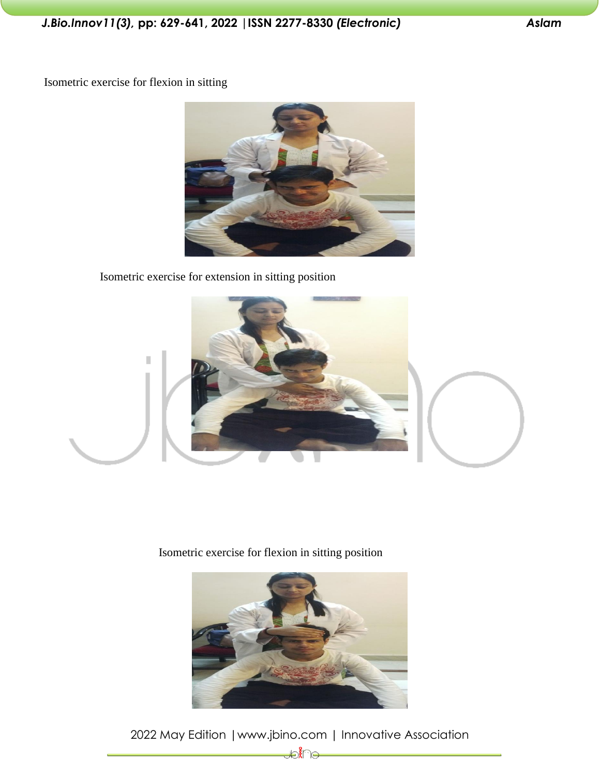Isometric exercise for flexion in sitting



Isometric exercise for extension in sitting position



Isometric exercise for flexion in sitting position

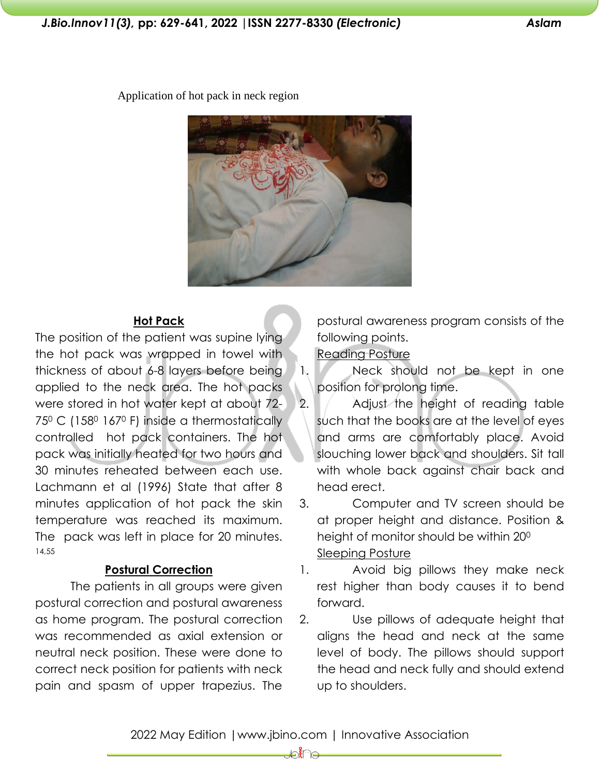Application of hot pack in neck region



## **Hot Pack**

The position of the patient was supine lying the hot pack was wrapped in towel with thickness of about 6-8 layers before being applied to the neck area. The hot packs were stored in hot water kept at about 72- 75<sup>0</sup> C (158<sup>0</sup> 167<sup>0</sup> F) inside a thermostatically controlled hot pack containers. The hot pack was initially heated for two hours and 30 minutes reheated between each use. Lachmann et al (1996) State that after 8 minutes application of hot pack the skin temperature was reached its maximum. The pack was left in place for 20 minutes. 14,55

# **Postural Correction**

The patients in all groups were given postural correction and postural awareness as home program. The postural correction was recommended as axial extension or neutral neck position. These were done to correct neck position for patients with neck pain and spasm of upper trapezius. The

postural awareness program consists of the following points.

Reading Posture

1. Neck should not be kept in one position for prolong time.

2. Adjust the height of reading table such that the books are at the level of eyes and arms are comfortably place. Avoid slouching lower back and shoulders. Sit tall with whole back against chair back and head erect.

3. Computer and TV screen should be at proper height and distance. Position & height of monitor should be within 20<sup>0</sup> Sleeping Posture

1. Avoid big pillows they make neck rest higher than body causes it to bend forward.

2. Use pillows of adequate height that aligns the head and neck at the same level of body. The pillows should support the head and neck fully and should extend up to shoulders.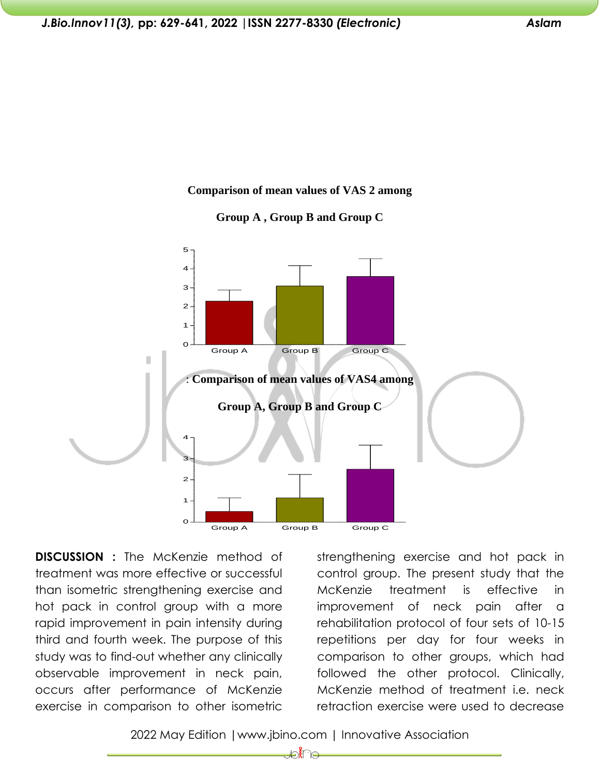#### **Comparison of mean values of VAS 2 among**





**DISCUSSION :** The McKenzie method of treatment was more effective or successful than isometric strengthening exercise and hot pack in control group with a more rapid improvement in pain intensity during third and fourth week. The purpose of this study was to find-out whether any clinically observable improvement in neck pain, occurs after performance of McKenzie exercise in comparison to other isometric

strengthening exercise and hot pack in control group. The present study that the McKenzie treatment is effective in improvement of neck pain after a rehabilitation protocol of four sets of 10-15 repetitions per day for four weeks in comparison to other groups, which had followed the other protocol. Clinically, McKenzie method of treatment i.e. neck retraction exercise were used to decrease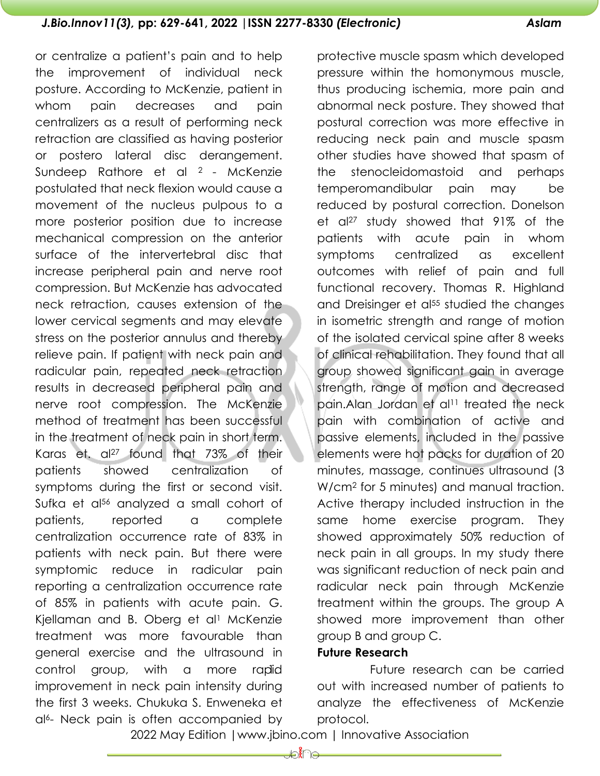or centralize a patient's pain and to help the improvement of individual neck posture. According to McKenzie, patient in whom pain decreases and pain centralizers as a result of performing neck retraction are classified as having posterior or postero lateral disc derangement. Sundeep Rathore et al 2 - McKenzie postulated that neck flexion would cause a movement of the nucleus pulpous to a more posterior position due to increase mechanical compression on the anterior surface of the intervertebral disc that increase peripheral pain and nerve root compression. But McKenzie has advocated neck retraction, causes extension of the lower cervical segments and may elevate stress on the posterior annulus and thereby relieve pain. If patient with neck pain and radicular pain, repeated neck retraction results in decreased peripheral pain and nerve root compression. The McKenzie method of treatment has been successful in the treatment of neck pain in short term. Karas et. al<sup>27</sup> found that 73% of their patients showed centralization of symptoms during the first or second visit. Sufka et al<sup>56</sup> analyzed a small cohort of patients, reported a complete centralization occurrence rate of 83% in patients with neck pain. But there were symptomic reduce in radicular pain reporting a centralization occurrence rate of 85% in patients with acute pain. G. Kjellaman and B. Oberg et al<sup>1</sup> McKenzie treatment was more favourable than general exercise and the ultrasound in control group, with a more rapid improvement in neck pain intensity during

the first 3 weeks. Chukuka S. Enweneka et al6- Neck pain is often accompanied by

protective muscle spasm which developed pressure within the homonymous muscle, thus producing ischemia, more pain and abnormal neck posture. They showed that postural correction was more effective in reducing neck pain and muscle spasm other studies have showed that spasm of the stenocleidomastoid and perhaps temperomandibular pain may be reduced by postural correction. Donelson et al<sup>27</sup> study showed that 91% of the patients with acute pain in whom symptoms centralized as excellent outcomes with relief of pain and full functional recovery. Thomas R. Highland and Dreisinger et al<sup>55</sup> studied the changes in isometric strength and range of motion of the isolated cervical spine after 8 weeks of clinical rehabilitation. They found that all group showed significant gain in average strength, range of motion and decreased pain.Alan Jordan et al<sup>11</sup> treated the neck pain with combination of active and passive elements, included in the passive elements were hot packs for duration of 20 minutes, massage, continues ultrasound (3 W/cm<sup>2</sup> for 5 minutes) and manual traction. Active therapy included instruction in the same home exercise program. They showed approximately 50% reduction of neck pain in all groups. In my study there was significant reduction of neck pain and radicular neck pain through McKenzie treatment within the groups. The group A showed more improvement than other group B and group C.

## **Future Research**

Future research can be carried out with increased number of patients to analyze the effectiveness of McKenzie protocol.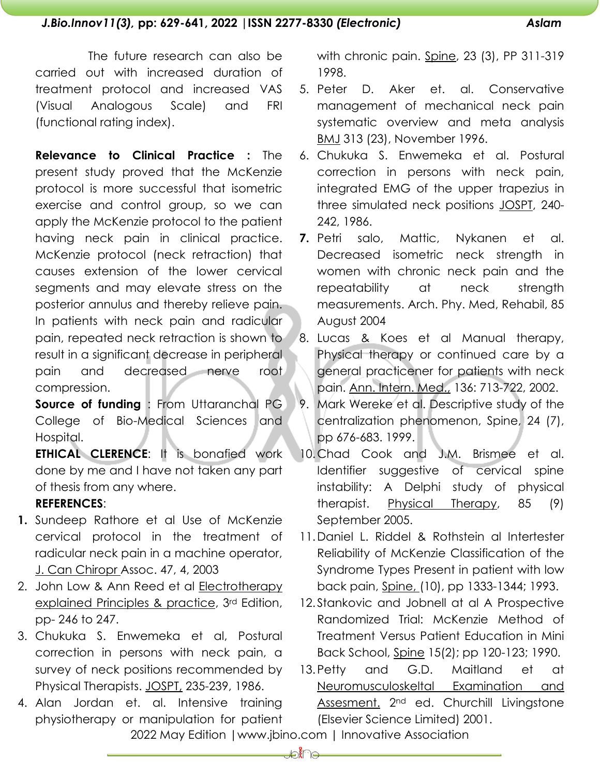The future research can also be carried out with increased duration of treatment protocol and increased VAS (Visual Analogous Scale) and FRI (functional rating index).

**Relevance to Clinical Practice :** The present study proved that the McKenzie protocol is more successful that isometric exercise and control group, so we can apply the McKenzie protocol to the patient having neck pain in clinical practice. McKenzie protocol (neck retraction) that causes extension of the lower cervical segments and may elevate stress on the posterior annulus and thereby relieve pain. In patients with neck pain and radicular pain, repeated neck retraction is shown to result in a significant decrease in peripheral pain and decreased nerve root compression.

**Source of funding** : From Uttaranchal PG College of Bio-Medical Sciences and Hospital.

**ETHICAL CLERENCE**: It is bonafied work done by me and I have not taken any part of thesis from any where.

# **REFERENCES**:

- **1.** Sundeep Rathore et al Use of McKenzie cervical protocol in the treatment of radicular neck pain in a machine operator, J. Can Chiropr Assoc. 47, 4, 2003
- 2. John Low & Ann Reed et al Electrotherapy explained Principles & practice, 3rd Edition, pp- 246 to 247.
- 3. Chukuka S. Enwemeka et al, Postural correction in persons with neck pain, a survey of neck positions recommended by Physical Therapists. JOSPT, 235-239, 1986.
- 4. Alan Jordan et. al. Intensive training physiotherapy or manipulation for patient

with chronic pain. Spine, 23 (3), PP 311-319 1998.

- 5. Peter D. Aker et. al. Conservative management of mechanical neck pain systematic overview and meta analysis BMJ 313 (23), November 1996.
- 6. Chukuka S. Enwemeka et al. Postural correction in persons with neck pain, integrated EMG of the upper trapezius in three simulated neck positions JOSPT, 240- 242, 1986.
- **7.** Petri salo, Mattic, Nykanen et al. Decreased isometric neck strength in women with chronic neck pain and the repeatability at neck strength measurements. Arch. Phy. Med, Rehabil, 85 August 2004
- 8. Lucas & Koes et al Manual therapy, Physical therapy or continued care by a general practicener for patients with neck pain. Ann. Intern. Med., 136: 713-722, 2002.
- 9. Mark Wereke et al. Descriptive study of the centralization phenomenon, Spine, 24 (7), pp 676-683. 1999.
- 10.Chad Cook and J.M. Brismee et al. Identifier suggestive of cervical spine instability: A Delphi study of physical therapist. Physical Therapy, 85 (9) September 2005.
- 11.Daniel L. Riddel & Rothstein al Intertester Reliability of McKenzie Classification of the Syndrome Types Present in patient with low back pain, Spine, (10), pp 1333-1344; 1993.
- 12. Stankovic and Jobnell at al A Prospective Randomized Trial: McKenzie Method of Treatment Versus Patient Education in Mini Back School, Spine 15(2); pp 120-123; 1990.
- 13.Petty and G.D. Maitland et at Neuromusculoskeltal Examination and Assesment. 2nd ed. Churchill Livingstone (Elsevier Science Limited) 2001.